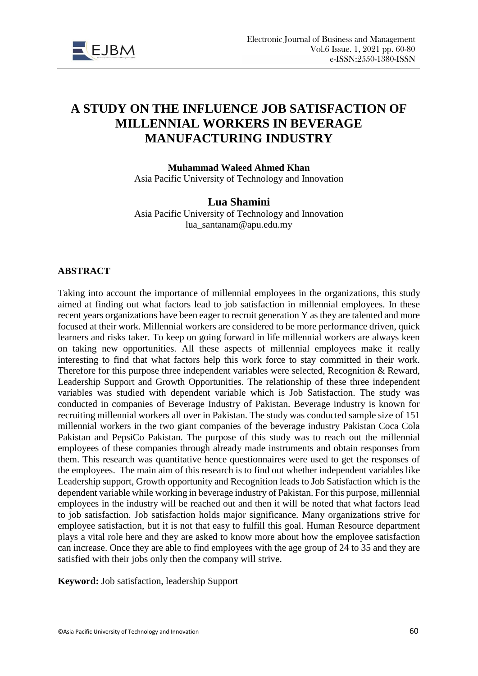

# **A STUDY ON THE INFLUENCE JOB SATISFACTION OF MILLENNIAL WORKERS IN BEVERAGE MANUFACTURING INDUSTRY**

**Muhammad Waleed Ahmed Khan**  Asia Pacific University of Technology and Innovation

# **Lua Shamini**

Asia Pacific University of Technology and Innovation lua\_santanam@apu.edu.my

# **ABSTRACT**

Taking into account the importance of millennial employees in the organizations, this study aimed at finding out what factors lead to job satisfaction in millennial employees. In these recent years organizations have been eager to recruit generation Y as they are talented and more focused at their work. Millennial workers are considered to be more performance driven, quick learners and risks taker. To keep on going forward in life millennial workers are always keen on taking new opportunities. All these aspects of millennial employees make it really interesting to find that what factors help this work force to stay committed in their work. Therefore for this purpose three independent variables were selected, Recognition & Reward, Leadership Support and Growth Opportunities. The relationship of these three independent variables was studied with dependent variable which is Job Satisfaction. The study was conducted in companies of Beverage Industry of Pakistan. Beverage industry is known for recruiting millennial workers all over in Pakistan. The study was conducted sample size of 151 millennial workers in the two giant companies of the beverage industry Pakistan Coca Cola Pakistan and PepsiCo Pakistan. The purpose of this study was to reach out the millennial employees of these companies through already made instruments and obtain responses from them. This research was quantitative hence questionnaires were used to get the responses of the employees. The main aim of this research is to find out whether independent variables like Leadership support, Growth opportunity and Recognition leads to Job Satisfaction which is the dependent variable while working in beverage industry of Pakistan. For this purpose, millennial employees in the industry will be reached out and then it will be noted that what factors lead to job satisfaction. Job satisfaction holds major significance. Many organizations strive for employee satisfaction, but it is not that easy to fulfill this goal. Human Resource department plays a vital role here and they are asked to know more about how the employee satisfaction can increase. Once they are able to find employees with the age group of 24 to 35 and they are satisfied with their jobs only then the company will strive.

**Keyword:** Job satisfaction, leadership Support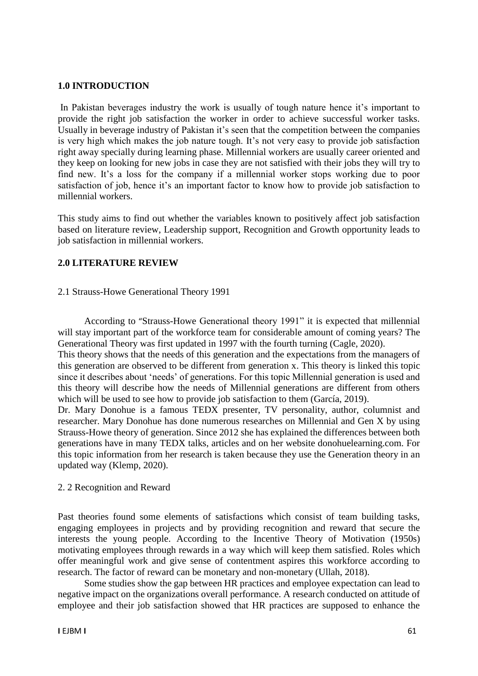### **1.0 INTRODUCTION**

In Pakistan beverages industry the work is usually of tough nature hence it's important to provide the right job satisfaction the worker in order to achieve successful worker tasks. Usually in beverage industry of Pakistan it's seen that the competition between the companies is very high which makes the job nature tough. It's not very easy to provide job satisfaction right away specially during learning phase. Millennial workers are usually career oriented and they keep on looking for new jobs in case they are not satisfied with their jobs they will try to find new. It's a loss for the company if a millennial worker stops working due to poor satisfaction of job, hence it's an important factor to know how to provide job satisfaction to millennial workers.

This study aims to find out whether the variables known to positively affect job satisfaction based on literature review, Leadership support, Recognition and Growth opportunity leads to job satisfaction in millennial workers.

### **2.0 LITERATURE REVIEW**

### 2.1 Strauss-Howe Generational Theory 1991

 According to "Strauss-Howe Generational theory 1991" it is expected that millennial will stay important part of the workforce team for considerable amount of coming years? The Generational Theory was first updated in 1997 with the fourth turning (Cagle, 2020).

This theory shows that the needs of this generation and the expectations from the managers of this generation are observed to be different from generation x. This theory is linked this topic since it describes about 'needs' of generations. For this topic Millennial generation is used and this theory will describe how the needs of Millennial generations are different from others which will be used to see how to provide job satisfaction to them (García, 2019).

Dr. Mary Donohue is a famous TEDX presenter, TV personality, author, columnist and researcher. Mary Donohue has done numerous researches on Millennial and Gen X by using Strauss-Howe theory of generation. Since 2012 she has explained the differences between both generations have in many TEDX talks, articles and on her website donohuelearning.com. For this topic information from her research is taken because they use the Generation theory in an updated way (Klemp, 2020).

### 2. 2 Recognition and Reward

Past theories found some elements of satisfactions which consist of team building tasks, engaging employees in projects and by providing recognition and reward that secure the interests the young people. According to the Incentive Theory of Motivation (1950s) motivating employees through rewards in a way which will keep them satisfied. Roles which offer meaningful work and give sense of contentment aspires this workforce according to research. The factor of reward can be monetary and non-monetary (Ullah, 2018).

 Some studies show the gap between HR practices and employee expectation can lead to negative impact on the organizations overall performance. A research conducted on attitude of employee and their job satisfaction showed that HR practices are supposed to enhance the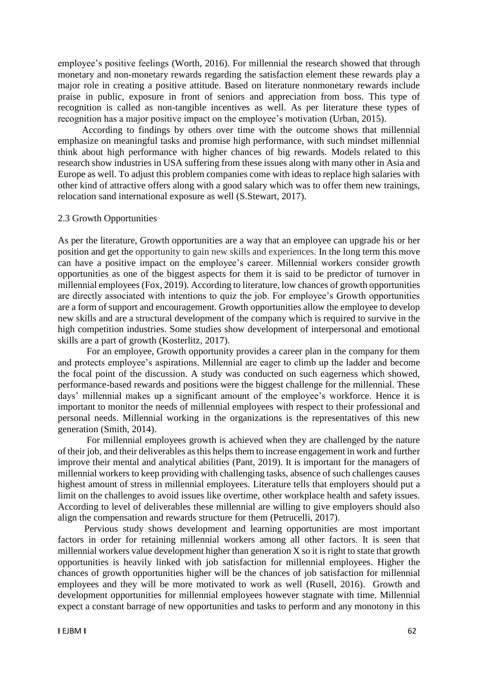employee's positive feelings (Worth, 2016). For millennial the research showed that through monetary and non-monetary rewards regarding the satisfaction element these rewards play a major role in creating a positive attitude. Based on literature nonmonetary rewards include praise in public, exposure in front of seniors and appreciation from boss. This type of recognition is called as non-tangible incentives as well. As per literature these types of recognition has a major positive impact on the employee's motivation (Urban, 2015).

 According to findings by others over time with the outcome shows that millennial emphasize on meaningful tasks and promise high performance, with such mindset millennial think about high performance with higher chances of big rewards. Models related to this research show industries in USA suffering from these issues along with many other in Asia and Europe as well. To adjust this problem companies come with ideas to replace high salaries with other kind of attractive offers along with a good salary which was to offer them new trainings, relocation sand international exposure as well (S.Stewart, 2017).

### 2.3 Growth Opportunities

As per the literature, Growth opportunities are a way that an employee can upgrade his or her position and get the opportunity to gain new skills and experiences. In the long term this move can have a positive impact on the employee's career. Millennial workers consider growth opportunities as one of the biggest aspects for them it is said to be predictor of turnover in millennial employees(Fox, 2019). According to literature, low chances of growth opportunities are directly associated with intentions to quiz the job. For employee's Growth opportunities are a form of support and encouragement. Growth opportunities allow the employee to develop new skills and are a structural development of the company which is required to survive in the high competition industries. Some studies show development of interpersonal and emotional skills are a part of growth (Kosterlitz, 2017).

 For an employee, Growth opportunity provides a career plan in the company for them and protects employee's aspirations. Millennial are eager to climb up the ladder and become the focal point of the discussion. A study was conducted on such eagerness which showed, performance-based rewards and positions were the biggest challenge for the millennial. These days' millennial makes up a significant amount of the employee's workforce. Hence it is important to monitor the needs of millennial employees with respect to their professional and personal needs. Millennial working in the organizations is the representatives of this new generation (Smith, 2014).

 For millennial employees growth is achieved when they are challenged by the nature of their job, and their deliverables as this helps them to increase engagement in work and further improve their mental and analytical abilities (Pant, 2019). It is important for the managers of millennial workers to keep providing with challenging tasks, absence of such challenges causes highest amount of stress in millennial employees. Literature tells that employers should put a limit on the challenges to avoid issues like overtime, other workplace health and safety issues. According to level of deliverables these millennial are willing to give employers should also align the compensation and rewards structure for them (Petrucelli, 2017).

 Pervious study shows development and learning opportunities are most important factors in order for retaining millennial workers among all other factors. It is seen that millennial workers value development higher than generation X so it is right to state that growth opportunities is heavily linked with job satisfaction for millennial employees. Higher the chances of growth opportunities higher will be the chances of job satisfaction for millennial employees and they will be more motivated to work as well (Rusell, 2016). Growth and development opportunities for millennial employees however stagnate with time. Millennial expect a constant barrage of new opportunities and tasks to perform and any monotony in this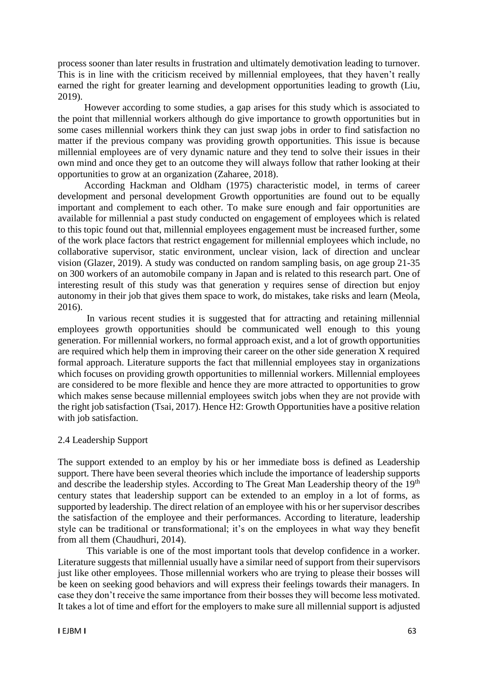process sooner than later results in frustration and ultimately demotivation leading to turnover. This is in line with the criticism received by millennial employees, that they haven't really earned the right for greater learning and development opportunities leading to growth (Liu, 2019).

 However according to some studies, a gap arises for this study which is associated to the point that millennial workers although do give importance to growth opportunities but in some cases millennial workers think they can just swap jobs in order to find satisfaction no matter if the previous company was providing growth opportunities. This issue is because millennial employees are of very dynamic nature and they tend to solve their issues in their own mind and once they get to an outcome they will always follow that rather looking at their opportunities to grow at an organization (Zaharee, 2018).

 According Hackman and Oldham (1975) characteristic model, in terms of career development and personal development Growth opportunities are found out to be equally important and complement to each other. To make sure enough and fair opportunities are available for millennial a past study conducted on engagement of employees which is related to this topic found out that, millennial employees engagement must be increased further, some of the work place factors that restrict engagement for millennial employees which include, no collaborative supervisor, static environment, unclear vision, lack of direction and unclear vision (Glazer, 2019). A study was conducted on random sampling basis, on age group 21-35 on 300 workers of an automobile company in Japan and is related to this research part. One of interesting result of this study was that generation y requires sense of direction but enjoy autonomy in their job that gives them space to work, do mistakes, take risks and learn (Meola, 2016).

 In various recent studies it is suggested that for attracting and retaining millennial employees growth opportunities should be communicated well enough to this young generation. For millennial workers, no formal approach exist, and a lot of growth opportunities are required which help them in improving their career on the other side generation X required formal approach. Literature supports the fact that millennial employees stay in organizations which focuses on providing growth opportunities to millennial workers. Millennial employees are considered to be more flexible and hence they are more attracted to opportunities to grow which makes sense because millennial employees switch jobs when they are not provide with the right job satisfaction (Tsai, 2017). Hence H2: Growth Opportunities have a positive relation with job satisfaction.

### 2.4 Leadership Support

The support extended to an employ by his or her immediate boss is defined as Leadership support. There have been several theories which include the importance of leadership supports and describe the leadership styles. According to The Great Man Leadership theory of the 19<sup>th</sup> century states that leadership support can be extended to an employ in a lot of forms, as supported by leadership. The direct relation of an employee with his or her supervisor describes the satisfaction of the employee and their performances. According to literature, leadership style can be traditional or transformational; it's on the employees in what way they benefit from all them (Chaudhuri, 2014).

 This variable is one of the most important tools that develop confidence in a worker. Literature suggests that millennial usually have a similar need of support from their supervisors just like other employees. Those millennial workers who are trying to please their bosses will be keen on seeking good behaviors and will express their feelings towards their managers. In case they don't receive the same importance from their bosses they will become less motivated. It takes a lot of time and effort for the employers to make sure all millennial support is adjusted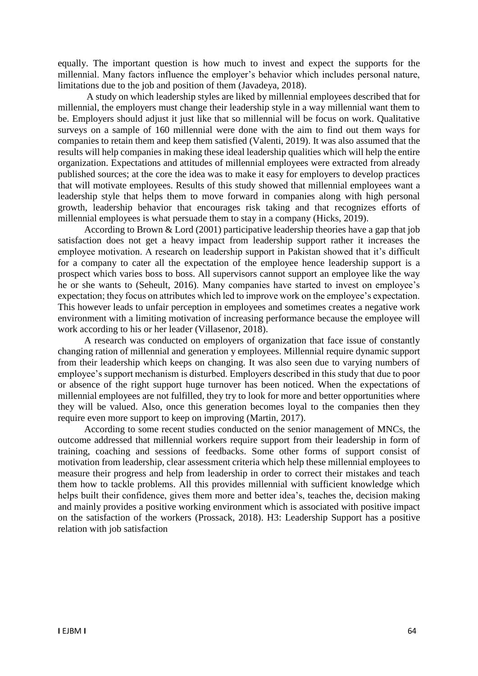equally. The important question is how much to invest and expect the supports for the millennial. Many factors influence the employer's behavior which includes personal nature, limitations due to the job and position of them (Javadeya, 2018).

 A study on which leadership styles are liked by millennial employees described that for millennial, the employers must change their leadership style in a way millennial want them to be. Employers should adjust it just like that so millennial will be focus on work. Qualitative surveys on a sample of 160 millennial were done with the aim to find out them ways for companies to retain them and keep them satisfied (Valenti, 2019). It was also assumed that the results will help companies in making these ideal leadership qualities which will help the entire organization. Expectations and attitudes of millennial employees were extracted from already published sources; at the core the idea was to make it easy for employers to develop practices that will motivate employees. Results of this study showed that millennial employees want a leadership style that helps them to move forward in companies along with high personal growth, leadership behavior that encourages risk taking and that recognizes efforts of millennial employees is what persuade them to stay in a company (Hicks, 2019).

 According to Brown & Lord (2001) participative leadership theories have a gap that job satisfaction does not get a heavy impact from leadership support rather it increases the employee motivation. A research on leadership support in Pakistan showed that it's difficult for a company to cater all the expectation of the employee hence leadership support is a prospect which varies boss to boss. All supervisors cannot support an employee like the way he or she wants to (Seheult, 2016). Many companies have started to invest on employee's expectation; they focus on attributes which led to improve work on the employee's expectation. This however leads to unfair perception in employees and sometimes creates a negative work environment with a limiting motivation of increasing performance because the employee will work according to his or her leader (Villasenor, 2018).

 A research was conducted on employers of organization that face issue of constantly changing ration of millennial and generation y employees. Millennial require dynamic support from their leadership which keeps on changing. It was also seen due to varying numbers of employee's support mechanism is disturbed. Employers described in this study that due to poor or absence of the right support huge turnover has been noticed. When the expectations of millennial employees are not fulfilled, they try to look for more and better opportunities where they will be valued. Also, once this generation becomes loyal to the companies then they require even more support to keep on improving (Martin, 2017).

 According to some recent studies conducted on the senior management of MNCs, the outcome addressed that millennial workers require support from their leadership in form of training, coaching and sessions of feedbacks. Some other forms of support consist of motivation from leadership, clear assessment criteria which help these millennial employees to measure their progress and help from leadership in order to correct their mistakes and teach them how to tackle problems. All this provides millennial with sufficient knowledge which helps built their confidence, gives them more and better idea's, teaches the, decision making and mainly provides a positive working environment which is associated with positive impact on the satisfaction of the workers (Prossack, 2018). H3: Leadership Support has a positive relation with job satisfaction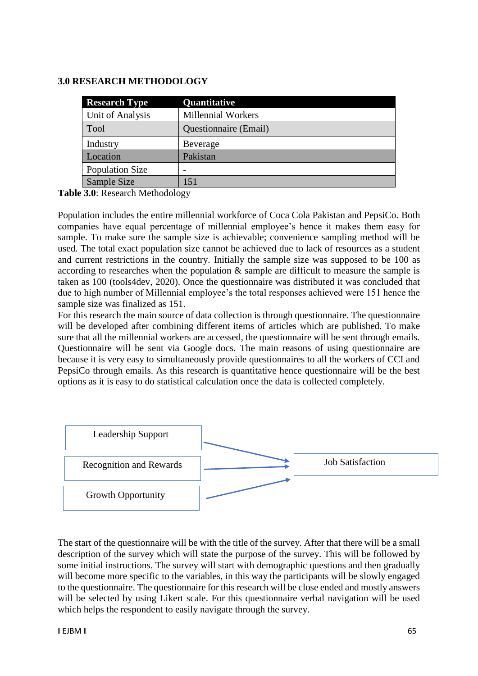# **3.0 RESEARCH METHODOLOGY**

| <b>Research Type</b>   | Quantitative                 |
|------------------------|------------------------------|
| Unit of Analysis       | <b>Millennial Workers</b>    |
| <b>Tool</b>            | <b>Questionnaire</b> (Email) |
| Industry               | Beverage                     |
| Location               | Pakistan                     |
| <b>Population Size</b> | -                            |
| Sample Size            | 151                          |

**Table 3.0**: Research Methodology

Population includes the entire millennial workforce of Coca Cola Pakistan and PepsiCo. Both companies have equal percentage of millennial employee's hence it makes them easy for sample. To make sure the sample size is achievable; convenience sampling method will be used. The total exact population size cannot be achieved due to lack of resources as a student and current restrictions in the country. Initially the sample size was supposed to be 100 as according to researches when the population & sample are difficult to measure the sample is taken as 100 (tools4dev, 2020). Once the questionnaire was distributed it was concluded that due to high number of Millennial employee's the total responses achieved were 151 hence the sample size was finalized as 151.

For this research the main source of data collection is through questionnaire. The questionnaire will be developed after combining different items of articles which are published. To make sure that all the millennial workers are accessed, the questionnaire will be sent through emails. Questionnaire will be sent via Google docs. The main reasons of using questionnaire are because it is very easy to simultaneously provide questionnaires to all the workers of CCI and PepsiCo through emails. As this research is quantitative hence questionnaire will be the best options as it is easy to do statistical calculation once the data is collected completely.



The start of the questionnaire will be with the title of the survey. After that there will be a small description of the survey which will state the purpose of the survey. This will be followed by some initial instructions. The survey will start with demographic questions and then gradually will become more specific to the variables, in this way the participants will be slowly engaged to the questionnaire. The questionnaire for this research will be close ended and mostly answers will be selected by using Likert scale. For this questionnaire verbal navigation will be used which helps the respondent to easily navigate through the survey.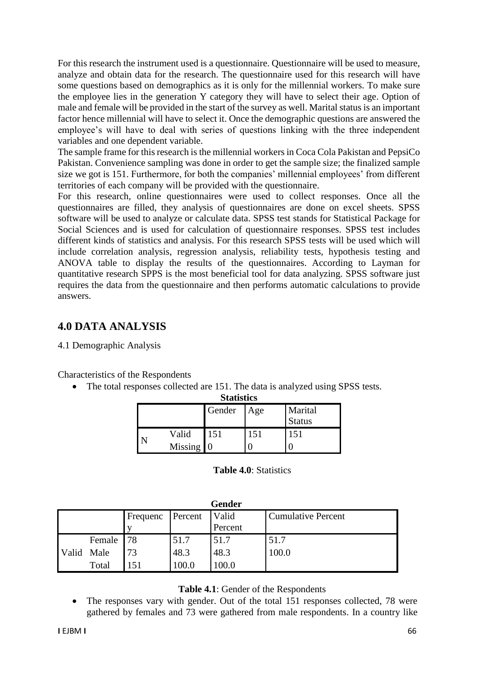For this research the instrument used is a questionnaire. Questionnaire will be used to measure, analyze and obtain data for the research. The questionnaire used for this research will have some questions based on demographics as it is only for the millennial workers. To make sure the employee lies in the generation Y category they will have to select their age. Option of male and female will be provided in the start of the survey as well. Marital status is an important factor hence millennial will have to select it. Once the demographic questions are answered the employee's will have to deal with series of questions linking with the three independent variables and one dependent variable.

The sample frame for this research is the millennial workers in Coca Cola Pakistan and PepsiCo Pakistan. Convenience sampling was done in order to get the sample size; the finalized sample size we got is 151. Furthermore, for both the companies' millennial employees' from different territories of each company will be provided with the questionnaire.

For this research, online questionnaires were used to collect responses. Once all the questionnaires are filled, they analysis of questionnaires are done on excel sheets. SPSS software will be used to analyze or calculate data. SPSS test stands for Statistical Package for Social Sciences and is used for calculation of questionnaire responses. SPSS test includes different kinds of statistics and analysis. For this research SPSS tests will be used which will include correlation analysis, regression analysis, reliability tests, hypothesis testing and ANOVA table to display the results of the questionnaires. According to Layman for quantitative research SPPS is the most beneficial tool for data analyzing. SPSS software just requires the data from the questionnaire and then performs automatic calculations to provide answers.

# **4.0 DATA ANALYSIS**

# 4.1 Demographic Analysis

Characteristics of the Respondents

• The total responses collected are 151. The data is analyzed using SPSS tests. **Statistics**

| Statistics              |           |     |                          |  |  |  |  |  |  |
|-------------------------|-----------|-----|--------------------------|--|--|--|--|--|--|
|                         | Gender    | Age | Marital<br><b>Status</b> |  |  |  |  |  |  |
| Valid<br><b>Missing</b> | 151<br>Iθ | 151 | 151                      |  |  |  |  |  |  |

### **Table 4.0**: Statistics

|       | <b>Gender</b> |          |         |         |                           |  |  |  |  |  |
|-------|---------------|----------|---------|---------|---------------------------|--|--|--|--|--|
|       |               | Frequenc | Percent | Valid   | <b>Cumulative Percent</b> |  |  |  |  |  |
|       |               |          |         | Percent |                           |  |  |  |  |  |
|       | Female        | 78       | 51.7    | 51.7    | 51.7                      |  |  |  |  |  |
| Valid | Male          | 73       | 48.3    | 48.3    | 100.0                     |  |  |  |  |  |
|       | Total         | 151      |         | 0.001   |                           |  |  |  |  |  |

# **Table 4.1**: Gender of the Respondents

• The responses vary with gender. Out of the total 151 responses collected, 78 were gathered by females and 73 were gathered from male respondents. In a country like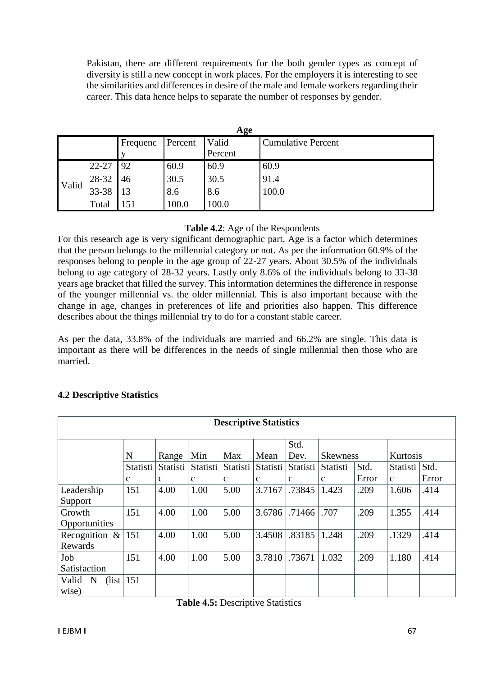Pakistan, there are different requirements for the both gender types as concept of diversity is still a new concept in work places. For the employers it is interesting to see the similarities and differences in desire of the male and female workers regarding their career. This data hence helps to separate the number of responses by gender.

|       | Age   |          |         |         |                           |  |  |  |  |  |
|-------|-------|----------|---------|---------|---------------------------|--|--|--|--|--|
|       |       | Frequenc | Percent | Valid   | <b>Cumulative Percent</b> |  |  |  |  |  |
|       |       |          |         | Percent |                           |  |  |  |  |  |
|       | 22-27 | 92       | 60.9    | 60.9    | 60.9                      |  |  |  |  |  |
|       | 28-32 | 46       | 30.5    | 30.5    | 91.4                      |  |  |  |  |  |
| Valid | 33-38 | 13       | 8.6     | 8.6     | 100.0                     |  |  |  |  |  |
|       | Total | .51      | 100.0   | 100.0   |                           |  |  |  |  |  |

# **Table 4.2**: Age of the Respondents

For this research age is very significant demographic part. Age is a factor which determines that the person belongs to the millennial category or not. As per the information 60.9% of the responses belong to people in the age group of 22-27 years. About 30.5% of the individuals belong to age category of 28-32 years. Lastly only 8.6% of the individuals belong to 33-38 years age bracket that filled the survey. This information determines the difference in response of the younger millennial vs. the older millennial. This is also important because with the change in age, changes in preferences of life and priorities also happen. This difference describes about the things millennial try to do for a constant stable career.

As per the data, 33.8% of the individuals are married and 66.2% are single. This data is important as there will be differences in the needs of single millennial then those who are married.

| <b>Descriptive Statistics</b>                                    |             |             |             |              |              |              |                 |       |               |       |  |  |
|------------------------------------------------------------------|-------------|-------------|-------------|--------------|--------------|--------------|-----------------|-------|---------------|-------|--|--|
|                                                                  |             |             |             |              |              | Std.         |                 |       |               |       |  |  |
|                                                                  | N           | Range       | Min         | Max          | Mean         | Dev.         | <b>Skewness</b> |       | Kurtosis      |       |  |  |
|                                                                  | Statisti    | Statisti    | Statisti    | Statisti     | Statisti     | Statisti     | Statisti        | Std.  | Statisti Std. |       |  |  |
|                                                                  | $\mathbf c$ | $\mathbf c$ | $\mathbf c$ | $\mathbf{c}$ | $\mathbf{c}$ | $\mathbf{c}$ | $\mathbf{C}$    | Error | $\mathbf{C}$  | Error |  |  |
| Leadership                                                       | 151         | 4.00        | 1.00        | 5.00         | 3.7167       | .73845       | 1.423           | .209  | 1.606         | .414  |  |  |
| Support                                                          |             |             |             |              |              |              |                 |       |               |       |  |  |
| Growth                                                           | 151         | 4.00        | 1.00        | 5.00         | 3.6786       | .71466       | .707            | .209  | 1.355         | .414  |  |  |
| Opportunities                                                    |             |             |             |              |              |              |                 |       |               |       |  |  |
| Recognition & 151                                                |             | 4.00        | 1.00        | 5.00         | 3.4508       | .83185       | 1.248           | .209  | .1329         | .414  |  |  |
| Rewards                                                          |             |             |             |              |              |              |                 |       |               |       |  |  |
| Job                                                              | 151         | 4.00        | 1.00        | 5.00         | 3.7810       | .73671       | 1.032           | .209  | 1.180         | .414  |  |  |
| Satisfaction                                                     |             |             |             |              |              |              |                 |       |               |       |  |  |
| $\left(\frac{\text{list}}{\text{list}}\right)$ 151<br>Valid<br>N |             |             |             |              |              |              |                 |       |               |       |  |  |
| wise)                                                            |             |             |             |              |              |              |                 |       |               |       |  |  |

# **4.2 Descriptive Statistics**

**Table 4.5:** Descriptive Statistics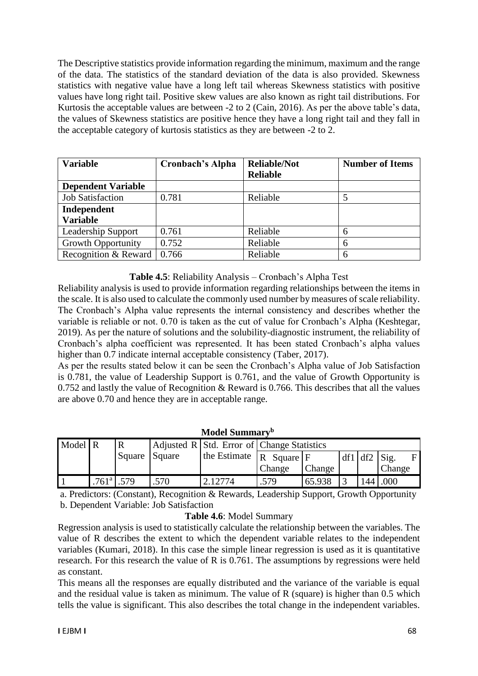The Descriptive statistics provide information regarding the minimum, maximum and the range of the data. The statistics of the standard deviation of the data is also provided. Skewness statistics with negative value have a long left tail whereas Skewness statistics with positive values have long right tail. Positive skew values are also known as right tail distributions. For Kurtosis the acceptable values are between -2 to 2 (Cain, 2016). As per the above table's data, the values of Skewness statistics are positive hence they have a long right tail and they fall in the acceptable category of kurtosis statistics as they are between -2 to 2.

| <b>Variable</b>           | <b>Cronbach's Alpha</b> | <b>Reliable/Not</b> | <b>Number of Items</b> |
|---------------------------|-------------------------|---------------------|------------------------|
|                           |                         | <b>Reliable</b>     |                        |
| <b>Dependent Variable</b> |                         |                     |                        |
| <b>Job Satisfaction</b>   | 0.781                   | Reliable            |                        |
| Independent               |                         |                     |                        |
| <b>Variable</b>           |                         |                     |                        |
| Leadership Support        | 0.761                   | Reliable            | 6                      |
| <b>Growth Opportunity</b> | 0.752                   | Reliable            | 6                      |
| Recognition & Reward      | 0.766                   | Reliable            | 6                      |

# **Table 4.5**: Reliability Analysis – Cronbach's Alpha Test

Reliability analysis is used to provide information regarding relationships between the items in the scale. It is also used to calculate the commonly used number by measures of scale reliability. The Cronbach's Alpha value represents the internal consistency and describes whether the variable is reliable or not. 0.70 is taken as the cut of value for Cronbach's Alpha (Keshtegar, 2019). As per the nature of solutions and the solubility-diagnostic instrument, the reliability of Cronbach's alpha coefficient was represented. It has been stated Cronbach's alpha values higher than 0.7 indicate internal acceptable consistency (Taber, 2017).

As per the results stated below it can be seen the Cronbach's Alpha value of Job Satisfaction is 0.781, the value of Leadership Support is 0.761, and the value of Growth Opportunity is 0.752 and lastly the value of Recognition & Reward is 0.766. This describes that all the values are above 0.70 and hence they are in acceptable range.

|         | Model Summary <sup>b</sup> |        |        |                              |                                            |        |           |     |        |  |  |  |  |  |
|---------|----------------------------|--------|--------|------------------------------|--------------------------------------------|--------|-----------|-----|--------|--|--|--|--|--|
| Model R |                            |        |        |                              | Adjusted R Std. Error of Change Statistics |        |           |     |        |  |  |  |  |  |
|         |                            | Square | Square | the Estimate $\vert R \vert$ | $Square$ $F$                               |        | $df1$ df2 |     | Sig.   |  |  |  |  |  |
|         |                            |        |        |                              | Change                                     | Change |           |     | Change |  |  |  |  |  |
|         | 761 <sup>a</sup>           | .579   | .570   | 2.12774                      | .579                                       | 65.938 |           | 144 | .000   |  |  |  |  |  |

a. Predictors: (Constant), Recognition & Rewards, Leadership Support, Growth Opportunity b. Dependent Variable: Job Satisfaction

# **Table 4.6**: Model Summary

Regression analysis is used to statistically calculate the relationship between the variables. The value of R describes the extent to which the dependent variable relates to the independent variables (Kumari, 2018). In this case the simple linear regression is used as it is quantitative research. For this research the value of R is 0.761. The assumptions by regressions were held as constant.

This means all the responses are equally distributed and the variance of the variable is equal and the residual value is taken as minimum. The value of R (square) is higher than 0.5 which tells the value is significant. This also describes the total change in the independent variables.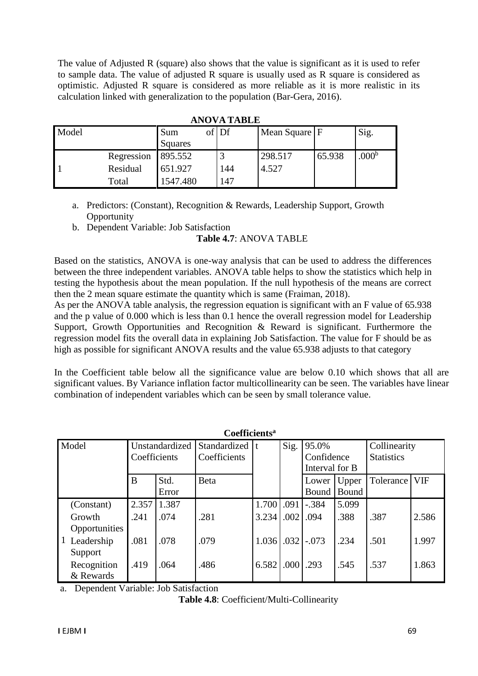The value of Adjusted R (square) also shows that the value is significant as it is used to refer to sample data. The value of adjusted R square is usually used as R square is considered as optimistic. Adjusted R square is considered as more reliable as it is more realistic in its calculation linked with generalization to the population (Bar-Gera, 2016).

| Model |            | Sum      | of Df | Mean Square F |        | Sig.           |  |  |  |
|-------|------------|----------|-------|---------------|--------|----------------|--|--|--|
|       |            | Squares  |       |               |        |                |  |  |  |
|       | Regression | 895.552  |       | 298.517       | 65.938 | $.000^{\rm b}$ |  |  |  |
|       | Residual   | 651.927  | 144   | 4.527         |        |                |  |  |  |
|       | Total      | 1547.480 | 147   |               |        |                |  |  |  |

**ANOVA TABLE**

a. Predictors: (Constant), Recognition & Rewards, Leadership Support, Growth **Opportunity** 

b. Dependent Variable: Job Satisfaction

# **Table 4.7**: ANOVA TABLE

Based on the statistics, ANOVA is one-way analysis that can be used to address the differences between the three independent variables. ANOVA table helps to show the statistics which help in testing the hypothesis about the mean population. If the null hypothesis of the means are correct then the 2 mean square estimate the quantity which is same (Fraiman, 2018).

As per the ANOVA table analysis, the regression equation is significant with an F value of 65.938 and the p value of 0.000 which is less than 0.1 hence the overall regression model for Leadership Support, Growth Opportunities and Recognition & Reward is significant. Furthermore the regression model fits the overall data in explaining Job Satisfaction. The value for F should be as high as possible for significant ANOVA results and the value 65.938 adjusts to that category

In the Coefficient table below all the significance value are below 0.10 which shows that all are significant values. By Variance inflation factor multicollinearity can be seen. The variables have linear combination of independent variables which can be seen by small tolerance value.

|                 | <b>Coefficients<sup>a</sup></b> |                |                  |       |                   |                |       |                   |            |  |  |  |  |  |
|-----------------|---------------------------------|----------------|------------------|-------|-------------------|----------------|-------|-------------------|------------|--|--|--|--|--|
| Model           |                                 | Unstandardized | Standardized   t |       | Sig.              | 95.0%          |       | Collinearity      |            |  |  |  |  |  |
|                 | Coefficients                    |                | Coefficients     |       |                   | Confidence     |       | <b>Statistics</b> |            |  |  |  |  |  |
|                 |                                 |                |                  |       |                   | Interval for B |       |                   |            |  |  |  |  |  |
|                 | B                               | Std.           | <b>B</b> eta     |       |                   | Lower          | Upper | Tolerance         | <b>VIF</b> |  |  |  |  |  |
|                 |                                 | Error          |                  |       |                   | Bound          | Bound |                   |            |  |  |  |  |  |
| (Constant)      | 2.357                           | 1.387          |                  | 1.700 | .091              | $-.384$        | 5.099 |                   |            |  |  |  |  |  |
| Growth          | .241                            | .074           | .281             | 3.234 | .002              | .094           | .388  | .387              | 2.586      |  |  |  |  |  |
| Opportunities   |                                 |                |                  |       |                   |                |       |                   |            |  |  |  |  |  |
| 1<br>Leadership | .081                            | .078           | .079             | 1.036 | .032              | $-.073$        | .234  | .501              | 1.997      |  |  |  |  |  |
| Support         |                                 |                |                  |       |                   |                |       |                   |            |  |  |  |  |  |
| Recognition     | .419                            | .064           | .486             | 6.582 | .000 <sub>1</sub> | .293           | .545  | .537              | 1.863      |  |  |  |  |  |
| & Rewards       |                                 |                |                  |       |                   |                |       |                   |            |  |  |  |  |  |

a. Dependent Variable: Job Satisfaction

**Table 4.8**: Coefficient/Multi-Collinearity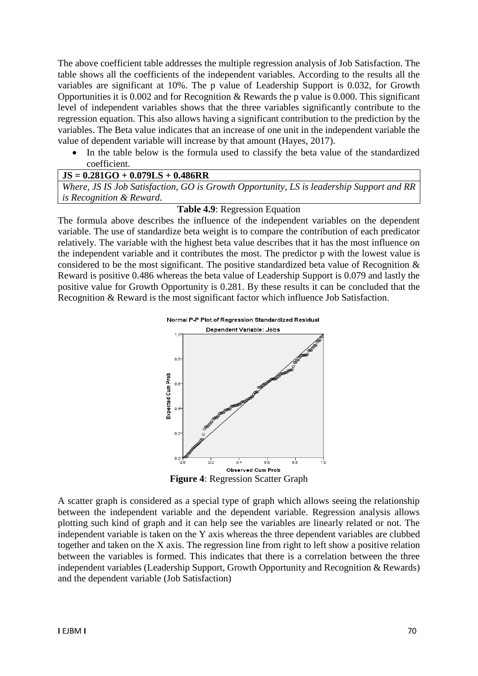The above coefficient table addresses the multiple regression analysis of Job Satisfaction. The table shows all the coefficients of the independent variables. According to the results all the variables are significant at 10%. The p value of Leadership Support is 0.032, for Growth Opportunities it is 0.002 and for Recognition & Rewards the p value is 0.000. This significant level of independent variables shows that the three variables significantly contribute to the regression equation. This also allows having a significant contribution to the prediction by the variables. The Beta value indicates that an increase of one unit in the independent variable the value of dependent variable will increase by that amount (Hayes, 2017).

 In the table below is the formula used to classify the beta value of the standardized coefficient.

### **JS = 0.281GO + 0.079LS + 0.486RR**

*Where, JS IS Job Satisfaction, GO is Growth Opportunity, LS is leadership Support and RR is Recognition & Reward.* 

# **Table 4.9**: Regression Equation

The formula above describes the influence of the independent variables on the dependent variable. The use of standardize beta weight is to compare the contribution of each predicator relatively. The variable with the highest beta value describes that it has the most influence on the independent variable and it contributes the most. The predictor p with the lowest value is considered to be the most significant. The positive standardized beta value of Recognition  $\&$ Reward is positive 0.486 whereas the beta value of Leadership Support is 0.079 and lastly the positive value for Growth Opportunity is 0.281. By these results it can be concluded that the Recognition & Reward is the most significant factor which influence Job Satisfaction.



**Figure 4**: Regression Scatter Graph

A scatter graph is considered as a special type of graph which allows seeing the relationship between the independent variable and the dependent variable. Regression analysis allows plotting such kind of graph and it can help see the variables are linearly related or not. The independent variable is taken on the Y axis whereas the three dependent variables are clubbed together and taken on the X axis. The regression line from right to left show a positive relation between the variables is formed. This indicates that there is a correlation between the three independent variables (Leadership Support, Growth Opportunity and Recognition & Rewards) and the dependent variable (Job Satisfaction)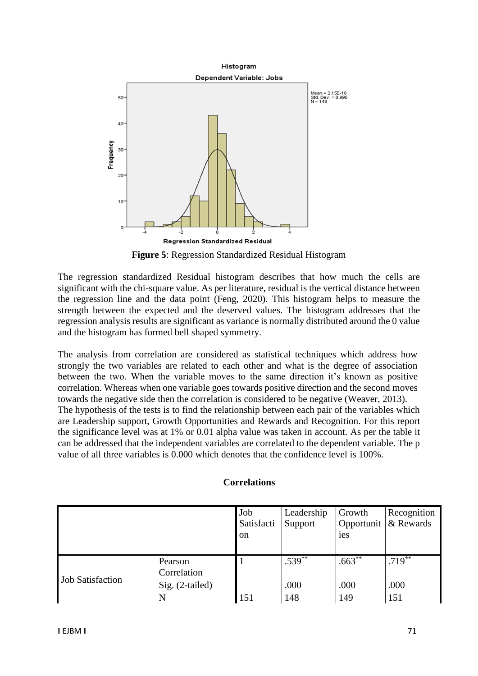

**Figure 5**: Regression Standardized Residual Histogram

The regression standardized Residual histogram describes that how much the cells are significant with the chi-square value. As per literature, residual is the vertical distance between the regression line and the data point (Feng, 2020). This histogram helps to measure the strength between the expected and the deserved values. The histogram addresses that the regression analysis results are significant as variance is normally distributed around the 0 value and the histogram has formed bell shaped symmetry.

The analysis from correlation are considered as statistical techniques which address how strongly the two variables are related to each other and what is the degree of association between the two. When the variable moves to the same direction it's known as positive correlation. Whereas when one variable goes towards positive direction and the second moves towards the negative side then the correlation is considered to be negative (Weaver, 2013). The hypothesis of the tests is to find the relationship between each pair of the variables which are Leadership support, Growth Opportunities and Rewards and Recognition. For this report the significance level was at 1% or 0.01 alpha value was taken in account. As per the table it can be addressed that the independent variables are correlated to the dependent variable. The p value of all three variables is 0.000 which denotes that the confidence level is 100%.

### **Correlations**

|                         |                                           | Job<br>Satisfacti<br><sub>on</sub> | Leadership<br>Support | Growth<br><i>ies</i> | Recognition<br>Opportunit   & Rewards |
|-------------------------|-------------------------------------------|------------------------------------|-----------------------|----------------------|---------------------------------------|
| <b>Job Satisfaction</b> | Pearson<br>Correlation<br>Sig. (2-tailed) |                                    | $.539***$<br>.000     | $.663***$<br>.000    | $.719***$<br>.000                     |
|                         | N                                         | 151                                | 148                   | 149                  | 151                                   |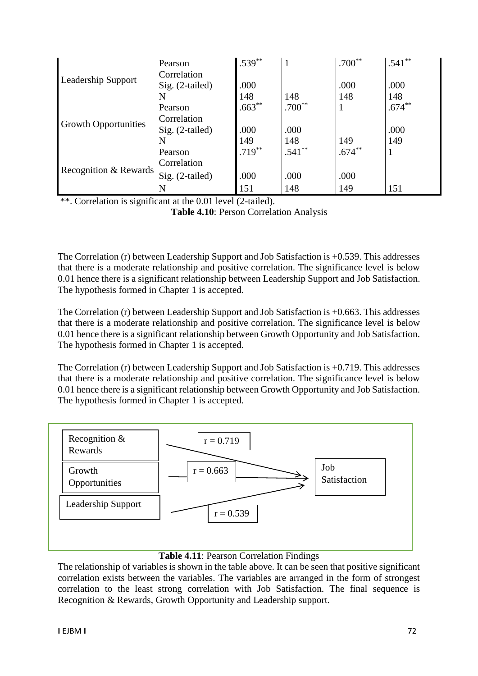|                             | Pearson           | $.539***$ | 1        | $.700**$  | $.541**$  |
|-----------------------------|-------------------|-----------|----------|-----------|-----------|
|                             | Correlation       |           |          |           |           |
| <b>Leadership Support</b>   | $Sig. (2-tailed)$ | .000      |          | .000      | .000      |
|                             | N                 | 148       | 148      | 148       | 148       |
|                             | Pearson           | $.663**$  | $.700**$ |           | $.674***$ |
|                             | Correlation       |           |          |           |           |
| <b>Growth Opportunities</b> | $Sig. (2-tailed)$ | .000      | .000     |           | .000      |
|                             | N                 | 149       | 148      | 149       | 149       |
|                             | Pearson           | $.719***$ | $.541**$ | $.674***$ |           |
|                             | Correlation       |           |          |           |           |
| Recognition & Rewards       | Sig. (2-tailed)   | .000      | .000     | .000      |           |
|                             | N                 | 151       | 148      | 149       | 151       |

\*\*. Correlation is significant at the 0.01 level (2-tailed).

**Table 4.10**: Person Correlation Analysis

The Correlation (r) between Leadership Support and Job Satisfaction is +0.539. This addresses that there is a moderate relationship and positive correlation. The significance level is below 0.01 hence there is a significant relationship between Leadership Support and Job Satisfaction. The hypothesis formed in Chapter 1 is accepted.

The Correlation (r) between Leadership Support and Job Satisfaction is +0.663. This addresses that there is a moderate relationship and positive correlation. The significance level is below 0.01 hence there is a significant relationship between Growth Opportunity and Job Satisfaction. The hypothesis formed in Chapter 1 is accepted.

The Correlation (r) between Leadership Support and Job Satisfaction is +0.719. This addresses that there is a moderate relationship and positive correlation. The significance level is below 0.01 hence there is a significant relationship between Growth Opportunity and Job Satisfaction. The hypothesis formed in Chapter 1 is accepted.



# **Table 4.11**: Pearson Correlation Findings

The relationship of variables is shown in the table above. It can be seen that positive significant correlation exists between the variables. The variables are arranged in the form of strongest correlation to the least strong correlation with Job Satisfaction. The final sequence is Recognition & Rewards, Growth Opportunity and Leadership support.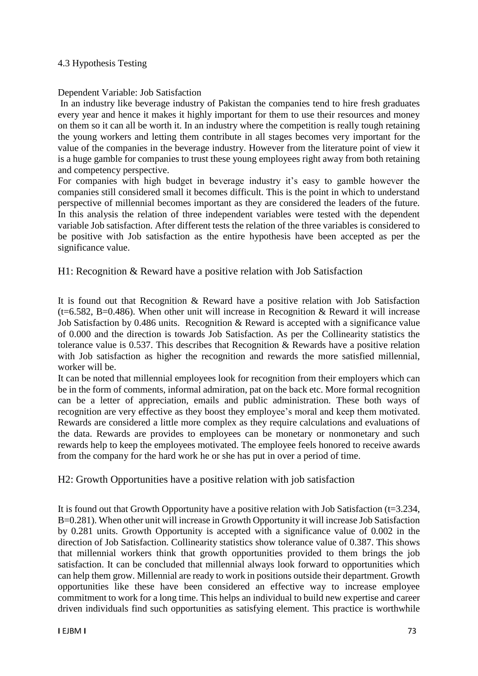# 4.3 Hypothesis Testing

# Dependent Variable: Job Satisfaction

In an industry like beverage industry of Pakistan the companies tend to hire fresh graduates every year and hence it makes it highly important for them to use their resources and money on them so it can all be worth it. In an industry where the competition is really tough retaining the young workers and letting them contribute in all stages becomes very important for the value of the companies in the beverage industry. However from the literature point of view it is a huge gamble for companies to trust these young employees right away from both retaining and competency perspective.

For companies with high budget in beverage industry it's easy to gamble however the companies still considered small it becomes difficult. This is the point in which to understand perspective of millennial becomes important as they are considered the leaders of the future. In this analysis the relation of three independent variables were tested with the dependent variable Job satisfaction. After different tests the relation of the three variables is considered to be positive with Job satisfaction as the entire hypothesis have been accepted as per the significance value.

# H1: Recognition & Reward have a positive relation with Job Satisfaction

It is found out that Recognition & Reward have a positive relation with Job Satisfaction (t=6.582, B=0.486). When other unit will increase in Recognition & Reward it will increase Job Satisfaction by 0.486 units. Recognition & Reward is accepted with a significance value of 0.000 and the direction is towards Job Satisfaction. As per the Collinearity statistics the tolerance value is 0.537. This describes that Recognition & Rewards have a positive relation with Job satisfaction as higher the recognition and rewards the more satisfied millennial, worker will be.

It can be noted that millennial employees look for recognition from their employers which can be in the form of comments, informal admiration, pat on the back etc. More formal recognition can be a letter of appreciation, emails and public administration. These both ways of recognition are very effective as they boost they employee's moral and keep them motivated. Rewards are considered a little more complex as they require calculations and evaluations of the data. Rewards are provides to employees can be monetary or nonmonetary and such rewards help to keep the employees motivated. The employee feels honored to receive awards from the company for the hard work he or she has put in over a period of time.

H2: Growth Opportunities have a positive relation with job satisfaction

It is found out that Growth Opportunity have a positive relation with Job Satisfaction (t=3.234, B=0.281). When other unit will increase in Growth Opportunity it will increase Job Satisfaction by 0.281 units. Growth Opportunity is accepted with a significance value of 0.002 in the direction of Job Satisfaction. Collinearity statistics show tolerance value of 0.387. This shows that millennial workers think that growth opportunities provided to them brings the job satisfaction. It can be concluded that millennial always look forward to opportunities which can help them grow. Millennial are ready to work in positions outside their department. Growth opportunities like these have been considered an effective way to increase employee commitment to work for a long time. This helps an individual to build new expertise and career driven individuals find such opportunities as satisfying element. This practice is worthwhile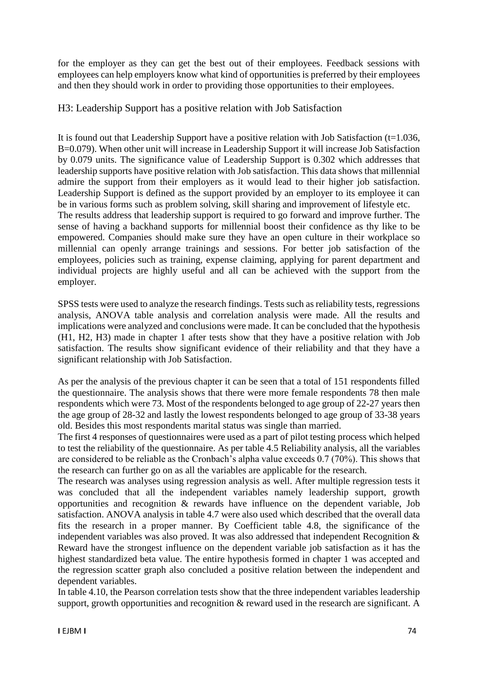for the employer as they can get the best out of their employees. Feedback sessions with employees can help employers know what kind of opportunities is preferred by their employees and then they should work in order to providing those opportunities to their employees.

# H3: Leadership Support has a positive relation with Job Satisfaction

It is found out that Leadership Support have a positive relation with Job Satisfaction ( $t=1.036$ , B=0.079). When other unit will increase in Leadership Support it will increase Job Satisfaction by 0.079 units. The significance value of Leadership Support is 0.302 which addresses that leadership supports have positive relation with Job satisfaction. This data shows that millennial admire the support from their employers as it would lead to their higher job satisfaction. Leadership Support is defined as the support provided by an employer to its employee it can be in various forms such as problem solving, skill sharing and improvement of lifestyle etc. The results address that leadership support is required to go forward and improve further. The sense of having a backhand supports for millennial boost their confidence as thy like to be empowered. Companies should make sure they have an open culture in their workplace so millennial can openly arrange trainings and sessions. For better job satisfaction of the employees, policies such as training, expense claiming, applying for parent department and individual projects are highly useful and all can be achieved with the support from the employer.

SPSS tests were used to analyze the research findings. Tests such as reliability tests, regressions analysis, ANOVA table analysis and correlation analysis were made. All the results and implications were analyzed and conclusions were made. It can be concluded that the hypothesis (H1, H2, H3) made in chapter 1 after tests show that they have a positive relation with Job satisfaction. The results show significant evidence of their reliability and that they have a significant relationship with Job Satisfaction.

As per the analysis of the previous chapter it can be seen that a total of 151 respondents filled the questionnaire. The analysis shows that there were more female respondents 78 then male respondents which were 73. Most of the respondents belonged to age group of 22-27 years then the age group of 28-32 and lastly the lowest respondents belonged to age group of 33-38 years old. Besides this most respondents marital status was single than married.

The first 4 responses of questionnaires were used as a part of pilot testing process which helped to test the reliability of the questionnaire. As per table 4.5 Reliability analysis, all the variables are considered to be reliable as the Cronbach's alpha value exceeds 0.7 (70%). This shows that the research can further go on as all the variables are applicable for the research.

The research was analyses using regression analysis as well. After multiple regression tests it was concluded that all the independent variables namely leadership support, growth opportunities and recognition & rewards have influence on the dependent variable, Job satisfaction. ANOVA analysis in table 4.7 were also used which described that the overall data fits the research in a proper manner. By Coefficient table 4.8, the significance of the independent variables was also proved. It was also addressed that independent Recognition & Reward have the strongest influence on the dependent variable job satisfaction as it has the highest standardized beta value. The entire hypothesis formed in chapter 1 was accepted and the regression scatter graph also concluded a positive relation between the independent and dependent variables.

In table 4.10, the Pearson correlation tests show that the three independent variables leadership support, growth opportunities and recognition & reward used in the research are significant. A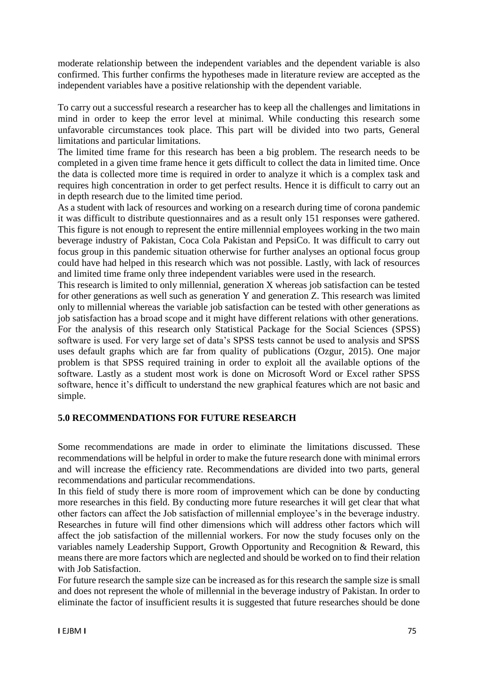moderate relationship between the independent variables and the dependent variable is also confirmed. This further confirms the hypotheses made in literature review are accepted as the independent variables have a positive relationship with the dependent variable.

To carry out a successful research a researcher has to keep all the challenges and limitations in mind in order to keep the error level at minimal. While conducting this research some unfavorable circumstances took place. This part will be divided into two parts, General limitations and particular limitations.

The limited time frame for this research has been a big problem. The research needs to be completed in a given time frame hence it gets difficult to collect the data in limited time. Once the data is collected more time is required in order to analyze it which is a complex task and requires high concentration in order to get perfect results. Hence it is difficult to carry out an in depth research due to the limited time period.

As a student with lack of resources and working on a research during time of corona pandemic it was difficult to distribute questionnaires and as a result only 151 responses were gathered. This figure is not enough to represent the entire millennial employees working in the two main beverage industry of Pakistan, Coca Cola Pakistan and PepsiCo. It was difficult to carry out focus group in this pandemic situation otherwise for further analyses an optional focus group could have had helped in this research which was not possible. Lastly, with lack of resources and limited time frame only three independent variables were used in the research.

This research is limited to only millennial, generation X whereas job satisfaction can be tested for other generations as well such as generation Y and generation Z. This research was limited only to millennial whereas the variable job satisfaction can be tested with other generations as job satisfaction has a broad scope and it might have different relations with other generations.

For the analysis of this research only Statistical Package for the Social Sciences (SPSS) software is used. For very large set of data's SPSS tests cannot be used to analysis and SPSS uses default graphs which are far from quality of publications (Ozgur, 2015). One major problem is that SPSS required training in order to exploit all the available options of the software. Lastly as a student most work is done on Microsoft Word or Excel rather SPSS software, hence it's difficult to understand the new graphical features which are not basic and simple.

# **5.0 RECOMMENDATIONS FOR FUTURE RESEARCH**

Some recommendations are made in order to eliminate the limitations discussed. These recommendations will be helpful in order to make the future research done with minimal errors and will increase the efficiency rate. Recommendations are divided into two parts, general recommendations and particular recommendations.

In this field of study there is more room of improvement which can be done by conducting more researches in this field. By conducting more future researches it will get clear that what other factors can affect the Job satisfaction of millennial employee's in the beverage industry. Researches in future will find other dimensions which will address other factors which will affect the job satisfaction of the millennial workers. For now the study focuses only on the variables namely Leadership Support, Growth Opportunity and Recognition & Reward, this means there are more factors which are neglected and should be worked on to find their relation with Job Satisfaction.

For future research the sample size can be increased as for this research the sample size is small and does not represent the whole of millennial in the beverage industry of Pakistan. In order to eliminate the factor of insufficient results it is suggested that future researches should be done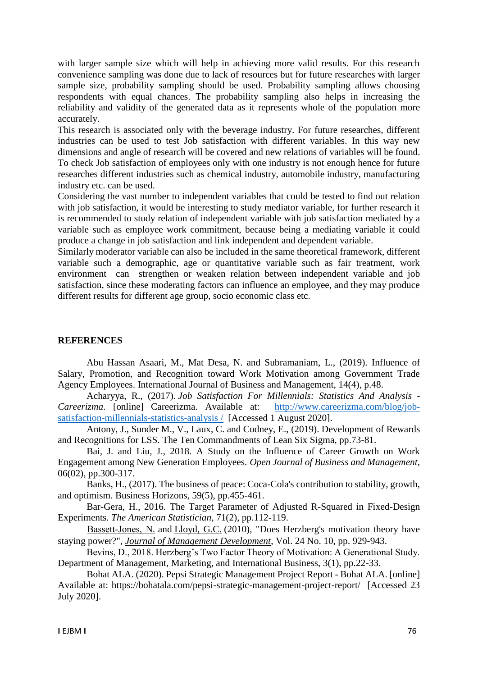with larger sample size which will help in achieving more valid results. For this research convenience sampling was done due to lack of resources but for future researches with larger sample size, probability sampling should be used. Probability sampling allows choosing respondents with equal chances. The probability sampling also helps in increasing the reliability and validity of the generated data as it represents whole of the population more accurately.

This research is associated only with the beverage industry. For future researches, different industries can be used to test Job satisfaction with different variables. In this way new dimensions and angle of research will be covered and new relations of variables will be found. To check Job satisfaction of employees only with one industry is not enough hence for future researches different industries such as chemical industry, automobile industry, manufacturing industry etc. can be used.

Considering the vast number to independent variables that could be tested to find out relation with job satisfaction, it would be interesting to study mediator variable, for further research it is recommended to study relation of independent variable with job satisfaction mediated by a variable such as employee work commitment, because being a mediating variable it could produce a change in job satisfaction and link independent and dependent variable.

Similarly moderator variable can also be included in the same theoretical framework, different variable such a demographic, age or quantitative variable such as fair treatment, work environment can strengthen or weaken relation between independent variable and job satisfaction, since these moderating factors can influence an employee, and they may produce different results for different age group, socio economic class etc.

# **REFERENCES**

Abu Hassan Asaari, M., Mat Desa, N. and Subramaniam, L., (2019). Influence of Salary, Promotion, and Recognition toward Work Motivation among Government Trade Agency Employees. International Journal of Business and Management, 14(4), p.48.

Acharyya, R., (2017). *Job Satisfaction For Millennials: Statistics And Analysis - Careerizma*. [online] Careerizma. Available at: [http://www.careerizma.com/blog/job](http://www.careerizma.com/blog/job-satisfaction-millennials-statistics-analysis%20/)[satisfaction-millennials-statistics-analysis /](http://www.careerizma.com/blog/job-satisfaction-millennials-statistics-analysis%20/) [Accessed 1 August 2020].

Antony, J., Sunder M., V., Laux, C. and Cudney, E., (2019). Development of Rewards and Recognitions for LSS. The Ten Commandments of Lean Six Sigma, pp.73-81.

Bai, J. and Liu, J., 2018. A Study on the Influence of Career Growth on Work Engagement among New Generation Employees. *Open Journal of Business and Management*, 06(02), pp.300-317.

Banks, H., (2017). The business of peace: Coca-Cola's contribution to stability, growth, and optimism. Business Horizons, 59(5), pp.455-461.

Bar-Gera, H., 2016. The Target Parameter of Adjusted R-Squared in Fixed-Design Experiments. *The American Statistician*, 71(2), pp.112-119.

[Bassett‐Jones,](https://www.emerald.com/insight/search?q=Nigel%20Bassett%E2%80%90Jones) N. and [Lloyd, G.C.](https://www.emerald.com/insight/search?q=Geoffrey%20C.%20Lloyd) (2010), "Does Herzberg's motivation theory have staying power?", *[Journal of Management Development](https://www.emerald.com/insight/publication/issn/0262-1711)*, Vol. 24 No. 10, pp. 929-943.

Bevins, D., 2018. Herzberg's Two Factor Theory of Motivation: A Generational Study. Department of Management, Marketing, and International Business, 3(1), pp.22-33.

Bohat ALA. (2020). Pepsi Strategic Management Project Report - Bohat ALA. [online] Available at: https://bohatala.com/pepsi-strategic-management-project-report/ [Accessed 23 July 2020].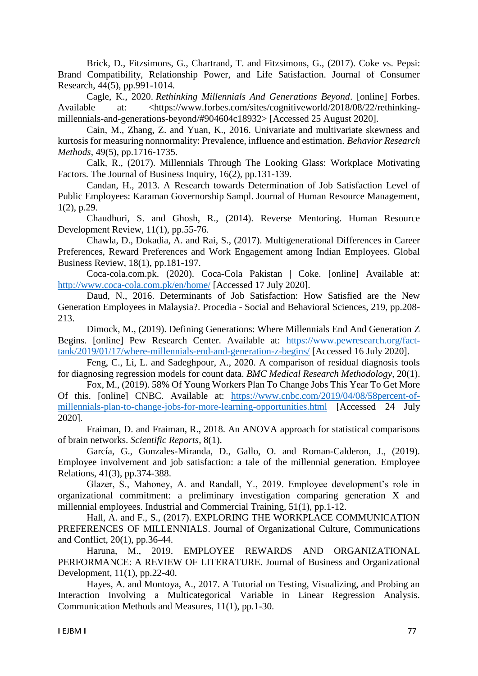Brick, D., Fitzsimons, G., Chartrand, T. and Fitzsimons, G., (2017). Coke vs. Pepsi: Brand Compatibility, Relationship Power, and Life Satisfaction. Journal of Consumer Research, 44(5), pp.991-1014.

Cagle, K., 2020. *Rethinking Millennials And Generations Beyond*. [online] Forbes. Available at: <https://www.forbes.com/sites/cognitiveworld/2018/08/22/rethinkingmillennials-and-generations-beyond/#904604c18932> [Accessed 25 August 2020].

Cain, M., Zhang, Z. and Yuan, K., 2016. Univariate and multivariate skewness and kurtosis for measuring nonnormality: Prevalence, influence and estimation. *Behavior Research Methods*, 49(5), pp.1716-1735.

Calk, R., (2017). Millennials Through The Looking Glass: Workplace Motivating Factors. The Journal of Business Inquiry, 16(2), pp.131-139.

Candan, H., 2013. A Research towards Determination of Job Satisfaction Level of Public Employees: Karaman Governorship Sampl. Journal of Human Resource Management, 1(2), p.29.

Chaudhuri, S. and Ghosh, R., (2014). Reverse Mentoring. Human Resource Development Review, 11(1), pp.55-76.

Chawla, D., Dokadia, A. and Rai, S., (2017). Multigenerational Differences in Career Preferences, Reward Preferences and Work Engagement among Indian Employees. Global Business Review, 18(1), pp.181-197.

Coca-cola.com.pk. (2020). Coca-Cola Pakistan | Coke. [online] Available at: <http://www.coca-cola.com.pk/en/home/> [Accessed 17 July 2020].

Daud, N., 2016. Determinants of Job Satisfaction: How Satisfied are the New Generation Employees in Malaysia?. Procedia - Social and Behavioral Sciences, 219, pp.208- 213.

Dimock, M., (2019). Defining Generations: Where Millennials End And Generation Z Begins. [online] Pew Research Center. Available at: [https://www.pewresearch.org/fact](https://www.pewresearch.org/fact-tank/2019/01/17/where-millennials-end-and-generation-z-begins/)[tank/2019/01/17/where-millennials-end-and-generation-z-begins/](https://www.pewresearch.org/fact-tank/2019/01/17/where-millennials-end-and-generation-z-begins/) [Accessed 16 July 2020].

Feng, C., Li, L. and Sadeghpour, A., 2020. A comparison of residual diagnosis tools for diagnosing regression models for count data. *BMC Medical Research Methodology*, 20(1).

Fox, M., (2019). 58% Of Young Workers Plan To Change Jobs This Year To Get More Of this. [online] CNBC. Available at: [https://www.cnbc.com/2019/04/08/58percent-of](https://www.cnbc.com/2019/04/08/58percent-of-millennials-plan-to-change-jobs-for-more-learning-opportunities.html)[millennials-plan-to-change-jobs-for-more-learning-opportunities.html](https://www.cnbc.com/2019/04/08/58percent-of-millennials-plan-to-change-jobs-for-more-learning-opportunities.html) [Accessed 24 July 2020].

Fraiman, D. and Fraiman, R., 2018. An ANOVA approach for statistical comparisons of brain networks. *Scientific Reports*, 8(1).

García, G., Gonzales-Miranda, D., Gallo, O. and Roman-Calderon, J., (2019). Employee involvement and job satisfaction: a tale of the millennial generation. Employee Relations, 41(3), pp.374-388.

Glazer, S., Mahoney, A. and Randall, Y., 2019. Employee development's role in organizational commitment: a preliminary investigation comparing generation X and millennial employees. Industrial and Commercial Training, 51(1), pp.1-12.

Hall, A. and F., S., (2017). EXPLORING THE WORKPLACE COMMUNICATION PREFERENCES OF MILLENNIALS. Journal of Organizational Culture, Communications and Conflict, 20(1), pp.36-44.

Haruna, M., 2019. EMPLOYEE REWARDS AND ORGANIZATIONAL PERFORMANCE: A REVIEW OF LITERATURE. Journal of Business and Organizational Development, 11(1), pp.22-40.

Hayes, A. and Montoya, A., 2017. A Tutorial on Testing, Visualizing, and Probing an Interaction Involving a Multicategorical Variable in Linear Regression Analysis. Communication Methods and Measures, 11(1), pp.1-30.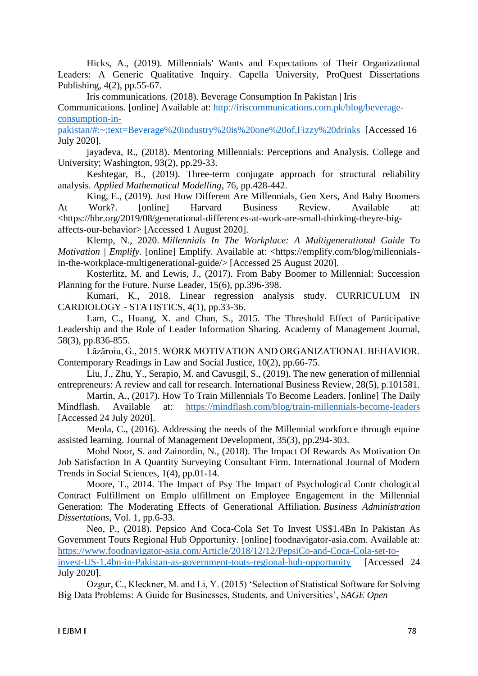Hicks, A., (2019). Millennials' Wants and Expectations of Their Organizational Leaders: A Generic Qualitative Inquiry. Capella University, ProQuest Dissertations Publishing, 4(2), pp.55-67.

Iris communications. (2018). Beverage Consumption In Pakistan | Iris

Communications. [online] Available at: [http://iriscommunications.com.pk/blog/beverage](http://iriscommunications.com.pk/blog/beverage-consumption-in-pakistan/#:~:text=Beverage%20industry%20is%20one%20of,Fizzy%20drinks)[consumption-in-](http://iriscommunications.com.pk/blog/beverage-consumption-in-pakistan/#:~:text=Beverage%20industry%20is%20one%20of,Fizzy%20drinks)

[pakistan/#:~:text=Beverage%20industry%20is%20one%20of,Fizzy%20drinks](http://iriscommunications.com.pk/blog/beverage-consumption-in-pakistan/#:~:text=Beverage%20industry%20is%20one%20of,Fizzy%20drinks) [Accessed 16 July 2020].

jayadeva, R., (2018). Mentoring Millennials: Perceptions and Analysis. College and University; Washington, 93(2), pp.29-33.

Keshtegar, B., (2019). Three-term conjugate approach for structural reliability analysis. *Applied Mathematical Modelling*, 76, pp.428-442.

King, E., (2019). Just How Different Are Millennials, Gen Xers, And Baby Boomers At Work?. [online] Harvard Business Review. Available at: <https://hbr.org/2019/08/generational-differences-at-work-are-small-thinking-theyre-bigaffects-our-behavior> [Accessed 1 August 2020].

Klemp, N., 2020. *Millennials In The Workplace: A Multigenerational Guide To Motivation | Emplify.* [online] Emplify. Available at: <https://emplify.com/blog/millennialsin-the-workplace-multigenerational-guide/> [Accessed 25 August 2020].

Kosterlitz, M. and Lewis, J., (2017). From Baby Boomer to Millennial: Succession Planning for the Future. Nurse Leader, 15(6), pp.396-398.

Kumari, K., 2018. Linear regression analysis study. CURRICULUM IN CARDIOLOGY - STATISTICS, 4(1), pp.33-36.

Lam, C., Huang, X. and Chan, S., 2015. The Threshold Effect of Participative Leadership and the Role of Leader Information Sharing. Academy of Management Journal, 58(3), pp.836-855.

Lăzăroiu, G., 2015. WORK MOTIVATION AND ORGANIZATIONAL BEHAVIOR. Contemporary Readings in Law and Social Justice, 10(2), pp.66-75.

Liu, J., Zhu, Y., Serapio, M. and Cavusgil, S., (2019). The new generation of millennial entrepreneurs: A review and call for research. International Business Review, 28(5), p.101581.

Martin, A., (2017). How To Train Millennials To Become Leaders. [online] The Daily Mindflash. Available at: <https://mindflash.com/blog/train-millennials-become-leaders> [Accessed 24 July 2020].

Meola, C., (2016). Addressing the needs of the Millennial workforce through equine assisted learning. Journal of Management Development, 35(3), pp.294-303.

Mohd Noor, S. and Zainordin, N., (2018). The Impact Of Rewards As Motivation On Job Satisfaction In A Quantity Surveying Consultant Firm. International Journal of Modern Trends in Social Sciences, 1(4), pp.01-14.

Moore, T., 2014. The Impact of Psy The Impact of Psychological Contr chological Contract Fulfillment on Emplo ulfillment on Employee Engagement in the Millennial Generation: The Moderating Effects of Generational Affiliation. *Business Administration Dissertations*, Vol. 1, pp.6-33.

Neo, P., (2018). Pepsico And Coca-Cola Set To Invest US\$1.4Bn In Pakistan As Government Touts Regional Hub Opportunity. [online] foodnavigator-asia.com. Available at: [https://www.foodnavigator-asia.com/Article/2018/12/12/PepsiCo-and-Coca-Cola-set-to](https://www.foodnavigator-asia.com/Article/2018/12/12/PepsiCo-and-Coca-Cola-set-to-invest-US-1.4bn-in-Pakistan-as-government-touts-regional-hub-opportunity)[invest-US-1.4bn-in-Pakistan-as-government-touts-regional-hub-opportunity](https://www.foodnavigator-asia.com/Article/2018/12/12/PepsiCo-and-Coca-Cola-set-to-invest-US-1.4bn-in-Pakistan-as-government-touts-regional-hub-opportunity) [Accessed 24 July 2020].

Ozgur, C., Kleckner, M. and Li, Y. (2015) 'Selection of Statistical Software for Solving Big Data Problems: A Guide for Businesses, Students, and Universities', *SAGE Open*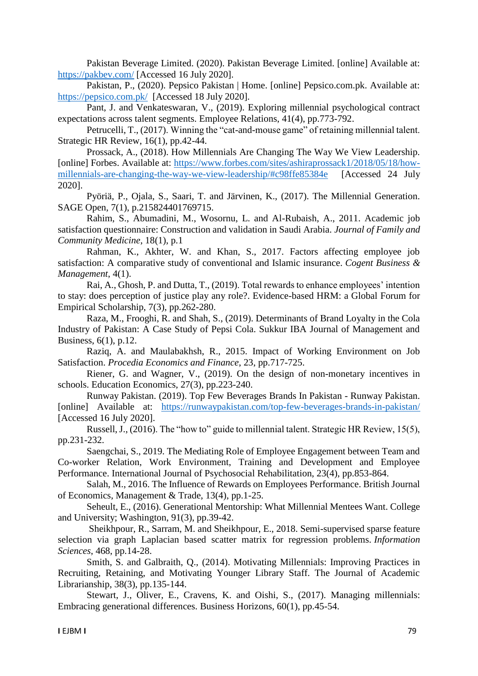Pakistan Beverage Limited. (2020). Pakistan Beverage Limited. [online] Available at: <https://pakbev.com/> [Accessed 16 July 2020].

Pakistan, P., (2020). Pepsico Pakistan | Home. [online] Pepsico.com.pk. Available at: <https://pepsico.com.pk/> [Accessed 18 July 2020].

Pant, J. and Venkateswaran, V., (2019). Exploring millennial psychological contract expectations across talent segments. Employee Relations, 41(4), pp.773-792.

Petrucelli, T., (2017). Winning the "cat-and-mouse game" of retaining millennial talent. Strategic HR Review, 16(1), pp.42-44.

Prossack, A., (2018). How Millennials Are Changing The Way We View Leadership. [online] Forbes. Available at: [https://www.forbes.com/sites/ashiraprossack1/2018/05/18/how](https://www.forbes.com/sites/ashiraprossack1/2018/05/18/how-millennials-are-changing-the-way-we-view-leadership/#c98ffe85384e)[millennials-are-changing-the-way-we-view-leadership/#c98ffe85384e](https://www.forbes.com/sites/ashiraprossack1/2018/05/18/how-millennials-are-changing-the-way-we-view-leadership/#c98ffe85384e) [Accessed 24 July 2020].

Pyöriä, P., Ojala, S., Saari, T. and Järvinen, K., (2017). The Millennial Generation. SAGE Open, 7(1), p.215824401769715.

Rahim, S., Abumadini, M., Wosornu, L. and Al-Rubaish, A., 2011. Academic job satisfaction questionnaire: Construction and validation in Saudi Arabia. *Journal of Family and Community Medicine*, 18(1), p.1

Rahman, K., Akhter, W. and Khan, S., 2017. Factors affecting employee job satisfaction: A comparative study of conventional and Islamic insurance. *Cogent Business & Management*, 4(1).

Rai, A., Ghosh, P. and Dutta, T., (2019). Total rewards to enhance employees' intention to stay: does perception of justice play any role?. Evidence-based HRM: a Global Forum for Empirical Scholarship, 7(3), pp.262-280.

Raza, M., Frooghi, R. and Shah, S., (2019). Determinants of Brand Loyalty in the Cola Industry of Pakistan: A Case Study of Pepsi Cola. Sukkur IBA Journal of Management and Business, 6(1), p.12.

Raziq, A. and Maulabakhsh, R., 2015. Impact of Working Environment on Job Satisfaction. *Procedia Economics and Finance*, 23, pp.717-725.

Riener, G. and Wagner, V., (2019). On the design of non-monetary incentives in schools. Education Economics, 27(3), pp.223-240.

Runway Pakistan. (2019). Top Few Beverages Brands In Pakistan - Runway Pakistan. [online] Available at: <https://runwaypakistan.com/top-few-beverages-brands-in-pakistan/> [Accessed 16 July 2020].

Russell, J., (2016). The "how to" guide to millennial talent. Strategic HR Review, 15(5), pp.231-232.

Saengchai, S., 2019. The Mediating Role of Employee Engagement between Team and Co-worker Relation, Work Environment, Training and Development and Employee Performance. International Journal of Psychosocial Rehabilitation, 23(4), pp.853-864.

Salah, M., 2016. The Influence of Rewards on Employees Performance. British Journal of Economics, Management & Trade, 13(4), pp.1-25.

Seheult, E., (2016). Generational Mentorship: What Millennial Mentees Want. College and University; Washington, 91(3), pp.39-42.

Sheikhpour, R., Sarram, M. and Sheikhpour, E., 2018. Semi-supervised sparse feature selection via graph Laplacian based scatter matrix for regression problems. *Information Sciences*, 468, pp.14-28.

Smith, S. and Galbraith, Q., (2014). Motivating Millennials: Improving Practices in Recruiting, Retaining, and Motivating Younger Library Staff. The Journal of Academic Librarianship, 38(3), pp.135-144.

Stewart, J., Oliver, E., Cravens, K. and Oishi, S., (2017). Managing millennials: Embracing generational differences. Business Horizons, 60(1), pp.45-54.